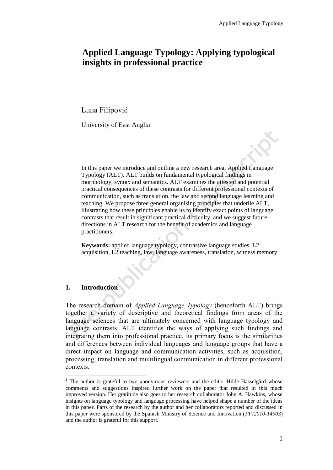# **Applied Language Typology: Applying typological insights in professional practice<sup>1</sup>**

Luna Filipović

University of East Anglia

In this paper we introduce and outline a new research area, Applied Language Typology (ALT). ALT builds on fundamental typological findings in morphology, syntax and semantics. ALT examines the attested and potential practical consequences of these contrasts for different professional contexts of communication, such as translation, the law and second language learning and teaching. We propose three general organising principles that underlie ALT, illustrating how these principles enable us to identify exact points of language contrasts that result in significant practical difficulty, and we suggest future directions in ALT research for the benefit of academics and language practitioners.

**Keywords:** applied language typology, contrastive language studies, L2 acquisition, L2 teaching, law, language awareness, translation, witness memory

## **1. Introduction**

 $\overline{a}$ 

The research domain of *Applied Language Typology* (henceforth ALT) brings together a variety of descriptive and theoretical findings from areas of the language sciences that are ultimately concerned with language typology and language contrasts. ALT identifies the ways of applying such findings and integrating them into professional practice. Its primary focus is the similarities and differences between individual languages and language groups that have a direct impact on language and communication activities, such as acquisition, processing, translation and multilingual communication in different professional contexts.

 $1$  The author is grateful to two anonymous reviewers and the editor Hilde Hasselgård whose comments and suggestions inspired further work on the paper that resulted in this much improved version. Her gratitude also goes to her research collaborator John A. Hawkins, whose insights on language typology and language processing have helped shape a number of the ideas in this paper. Parts of the research by the author and her collaborators reported and discussed in this paper were sponsored by the Spanish Ministry of Science and Innovation (*FFI2010*-*14903*) and the author is grateful for this support.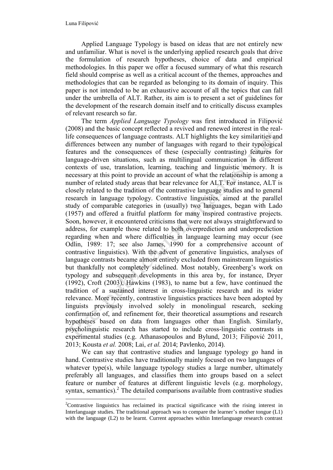Applied Language Typology is based on ideas that are not entirely new and unfamiliar. What is novel is the underlying applied research goals that drive the formulation of research hypotheses, choice of data and empirical methodologies. In this paper we offer a focused summary of what this research field should comprise as well as a critical account of the themes, approaches and methodologies that can be regarded as belonging to its domain of inquiry. This paper is not intended to be an exhaustive account of all the topics that can fall under the umbrella of ALT. Rather, its aim is to present a set of guidelines for the development of the research domain itself and to critically discuss examples of relevant research so far.

The term *Applied Language Typology* was first introduced in Filipović (2008) and the basic concept reflected a revived and renewed interest in the reallife consequences of language contrasts. ALT highlights the key similarities and differences between any number of languages with regard to their typological features and the consequences of these (especially contrasting) features for language-driven situations, such as multilingual communication in different contexts of use, translation, learning, teaching and linguistic memory. It is necessary at this point to provide an account of what the relationship is among a number of related study areas that bear relevance for ALT. For instance, ALT is closely related to the tradition of the contrastive language studies and to general research in language typology. Contrastive linguistics, aimed at the parallel study of comparable categories in (usually) two languages, began with Lado (1957) and offered a fruitful platform for many inspired contrastive projects. Soon, however, it encountered criticisms that were not always straightforward to address, for example those related to both overprediction and underprediction regarding when and where difficulties in language learning may occur (see Odlin, 1989: 17; see also James, 1990 for a comprehensive account of contrastive linguistics). With the advent of generative linguistics, analyses of language contrasts became almost entirely excluded from mainstream linguistics but thankfully not completely sidelined. Most notably, Greenberg's work on typology and subsequent developments in this area by, for instance, Dryer (1992), Croft (2003), Hawkins (1983), to name but a few, have continued the tradition of a sustained interest in cross-linguistic research and its wider relevance. More recently, contrastive linguistics practices have been adopted by linguists previously involved solely in monolingual research, seeking confirmation of, and refinement for, their theoretical assumptions and research hypotheses based on data from languages other than English. Similarly, psycholinguistic research has started to include cross-linguistic contrasts in experimental studies (e.g. Athanasopoulos and Bylund, 2013; Filipović 2011, 2013; Kousta *et al.* 2008; Lai, *et al.* 2014; Pavlenko, 2014).

We can say that contrastive studies and language typology go hand in hand. Contrastive studies have traditionally mainly focused on two languages of whatever type(s), while language typology studies a large number, ultimately preferably all languages, and classifies them into groups based on a select feature or number of features at different linguistic levels (e.g. morphology, syntax, semantics). $^2$  The detailed comparisons available from contrastive studies  $\overline{a}$ 

<sup>&</sup>lt;sup>2</sup>Contrastive linguistics has reclaimed its practical significance with the rising interest in Interlanguage studies. The traditional approach was to compare the learner's mother tongue (L1) with the language (L2) to be learnt. Current approaches within Interlanguage research contrast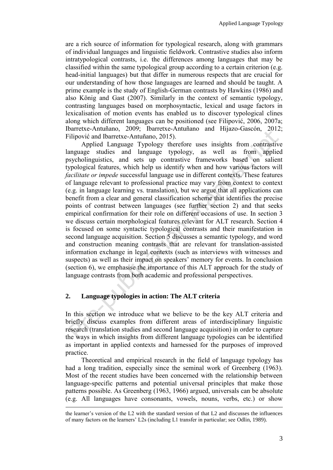are a rich source of information for typological research, along with grammars of individual languages and linguistic fieldwork. Contrastive studies also inform intratypological contrasts, i.e. the differences among languages that may be classified within the same typological group according to a certain criterion (e.g. head-initial languages) but that differ in numerous respects that are crucial for our understanding of how those languages are learned and should be taught. A prime example is the study of English-German contrasts by Hawkins (1986) and also König and Gast (2007). Similarly in the context of semantic typology, contrasting languages based on morphosyntactic, lexical and usage factors in lexicalisation of motion events has enabled us to discover typological clines along which different languages can be positioned (see Filipović, 2006, 2007a; Ibarretxe-Antuñano, 2009; Ibarretxe-Antuñano and Hijazo-Gascón, 2012; Filipović and Ibarretxe-Antuñano, 2015).

Applied Language Typology therefore uses insights from contrastive language studies and language typology, as well as from applied psycholinguistics, and sets up contrastive frameworks based on salient typological features, which help us identify when and how various factors will *facilitate or impede* successful language use in different contexts. These features of language relevant to professional practice may vary from context to context (e.g. in language learning vs. translation), but we argue that all applications can benefit from a clear and general classification scheme that identifies the precise points of contrast between languages (see further section 2) and that seeks empirical confirmation for their role on different occasions of use. In section 3 we discuss certain morphological features relevant for ALT research. Section 4 is focused on some syntactic typological contrasts and their manifestation in second language acquisition. Section 5 discusses a semantic typology, and word and construction meaning contrasts that are relevant for translation-assisted information exchange in legal contexts (such as interviews with witnesses and suspects) as well as their impact on speakers' memory for events. In conclusion (section 6), we emphasise the importance of this ALT approach for the study of language contrasts from both academic and professional perspectives.

## **2. Language typologies in action: The ALT criteria**

 $\overline{a}$ 

In this section we introduce what we believe to be the key ALT criteria and briefly discuss examples from different areas of interdisciplinary linguistic research (translation studies and second language acquisition) in order to capture the ways in which insights from different language typologies can be identified as important in applied contexts and harnessed for the purposes of improved practice.

Theoretical and empirical research in the field of language typology has had a long tradition, especially since the seminal work of Greenberg (1963). Most of the recent studies have been concerned with the relationship between language-specific patterns and potential universal principles that make those patterns possible. As Greenberg (1963, 1966) argued, universals can be absolute (e.g. All languages have consonants, vowels, nouns, verbs, etc.) or show

the learner's version of the L2 with the standard version of that L2 and discusses the influences of many factors on the learners' L2s (including L1 transfer in particular; see Odlin, 1989).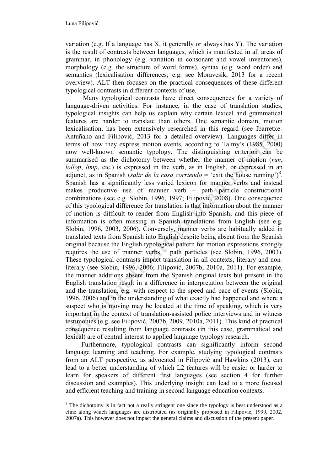$\overline{a}$ 

variation (e.g. If a language has X, it generally or always has Y). The variation is the result of contrasts between languages, which is manifested in all areas of grammar, in phonology (e.g. variation in consonant and vowel inventories), morphology (e.g. the structure of word forms), syntax (e.g. word order) and semantics (lexicalisation differences; e.g. see Moravcsik, 2013 for a recent overview). ALT then focuses on the practical consequences of these different typological contrasts in different contexts of use.

Many typological contrasts have direct consequences for a variety of language-driven activities. For instance, in the case of translation studies, typological insights can help us explain why certain lexical and grammatical features are harder to translate than others. One semantic domain, motion lexicalisation, has been extensively researched in this regard (see Ibarretxe-Antuñano and Filipović, 2013 for a detailed overview). Languages differ in terms of how they express motion events, according to Talmy's (1985, 2000) now well-known semantic typology. The distinguishing criterion can be summarised as the dichotomy between whether the manner of motion (*run*, *lollop*, *limp*, etc.) is expressed in the verb, as in English, or expressed in an adjunct, as in Spanish (*salir de la casa corriendo* = 'exit the house running')<sup>3</sup>. Spanish has a significantly less varied lexicon for manner verbs and instead makes productive use of manner verb  $+$  path particle constructional combinations (see e.g. Slobin, 1996, 1997; Filipović, 2008). One consequence of this typological difference for translation is that information about the manner of motion is difficult to render from English into Spanish, and this piece of information is often missing in Spanish translations from English (see e.g. Slobin, 1996, 2003, 2006). Conversely, manner verbs are habitually added in translated texts from Spanish into English despite being absent from the Spanish original because the English typological pattern for motion expressions strongly requires the use of manner verbs  $+$  path particles (see Slobin, 1996, 2003). These typological contrasts impact translation in all contexts, literary and nonliterary (see Slobin, 1996, 2006; Filipović, 2007b, 2010a, 2011). For example, the manner additions absent from the Spanish original texts but present in the English translation result in a difference in interpretation between the original and the translation, e.g. with respect to the speed and pace of events (Slobin, 1996, 2006) and in the understanding of what exactly had happened and where a suspect who is moving may be located at the time of speaking, which is very important in the context of translation-assisted police interviews and in witness testimonies (e.g. see Filipović, 2007b, 2009, 2010a, 2011). This kind of practical consequence resulting from language contrasts (in this case, grammatical and lexical) are of central interest to applied language typology research.

Furthermore, typological contrasts can significantly inform second language learning and teaching. For example, studying typological contrasts from an ALT perspective, as advocated in Filipović and Hawkins (2013), can lead to a better understanding of which L2 features will be easier or harder to learn for speakers of different first languages (see section 4 for further discussion and examples). This underlying insight can lead to a more focused and efficient teaching and training in second language education contexts.

 $3$  The dichotomy is in fact not a really stringent one since the typology is best understood as a cline along which languages are distributed (as originally proposed in Filipović, 1999, 2002, 2007a). This however does not impact the general claims and discussion of the present paper.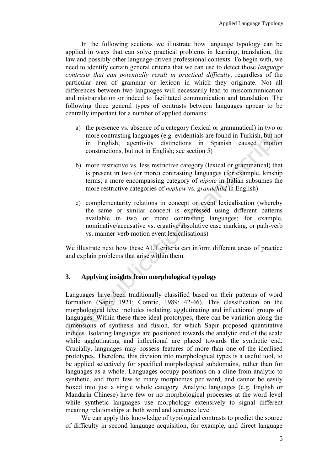In the following sections we illustrate how language typology can be applied in ways that can solve practical problems in learning, translation, the law and possibly other language-driven professional contexts. To begin with, we need to identify certain general criteria that we can use to detect those *language contrasts that can potentially result in practical difficulty*, regardless of the particular area of grammar or lexicon in which they originate. Not all differences between two languages will necessarily lead to miscommunication and mistranslation or indeed to facilitated communication and translation. The following three general types of contrasts between languages appear to be centrally important for a number of applied domains:

- a) the presence vs. absence of a category (lexical or grammatical) in two or more contrasting languages (e.g. evidentials are found in Turkish, but not in English; agentivity distinctions in Spanish caused motion constructions, but not in English; see section 5)
- b) more restrictive vs. less restrictive category (lexical or grammatical) that is present in two (or more) contrasting languages (for example, kinship terms; a more encompassing category of *nipote* in Italian subsumes the more restrictive categories of *nephew* vs. *grandchild* in English)
- c) complementarity relations in concept or event lexicalisation (whereby the same or similar concept is expressed using different patterns available in two or more contrasting languages; for example, nominative/accusative vs. ergative/absolutive case marking, or path-verb vs. manner-verb motion event lexicalisations)

We illustrate next how these ALT criteria can inform different areas of practice and explain problems that arise within them.

### **3. Applying insights from morphological typology**

Languages have been traditionally classified based on their patterns of word formation (Sapir, 1921; Comrie, 1989: 42-46). This classification on the morphological level includes isolating, agglutinating and inflectional groups of languages. Within these three ideal prototypes, there can be variation along the dimensions of synthesis and fusion, for which Sapir proposed quantitative indices. Isolating languages are positioned towards the analytic end of the scale while agglutinating and inflectional are placed towards the synthetic end. Crucially, languages may possess features of more than one of the idealised prototypes. Therefore, this division into morphological types is a useful tool, to be applied selectively for specified morphological subdomains, rather than for languages as a whole. Languages occupy positions on a cline from analytic to synthetic, and from few to many morphemes per word, and cannot be easily boxed into just a single whole category. Analytic languages (e.g. English or Mandarin Chinese) have few or no morphological processes at the word level while synthetic languages use morphology extensively to signal different meaning relationships at both word and sentence level

We can apply this knowledge of typological contrasts to predict the source of difficulty in second language acquisition, for example, and direct language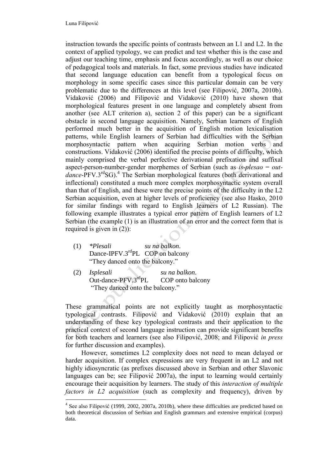$\overline{a}$ 

instruction towards the specific points of contrasts between an L1 and L2. In the context of applied typology, we can predict and test whether this is the case and adjust our teaching time, emphasis and focus accordingly, as well as our choice of pedagogical tools and materials. In fact, some previous studies have indicated that second language education can benefit from a typological focus on morphology in some specific cases since this particular domain can be very problematic due to the differences at this level (see Filipović, 2007a, 2010b). Vidaković (2006) and Filipović and Vidaković (2010) have shown that morphological features present in one language and completely absent from another (see ALT criterion a), section 2 of this paper) can be a significant obstacle in second language acquisition. Namely, Serbian learners of English performed much better in the acquisition of English motion lexicalisation patterns, while English learners of Serbian had difficulties with the Serbian morphosyntactic pattern when acquiring Serbian motion verbs and constructions. Vidaković (2006) identified the precise points of difficulty, which mainly comprised the verbal perfective derivational prefixation and suffixal aspect-person-number-gender morphemes of Serbian (such as *is-plesao* = *out*dance-PFV.3<sup>rd</sup>SG).<sup>4</sup> The Serbian morphological features (both derivational and inflectional) constituted a much more complex morphosyntactic system overall than that of English, and these were the precise points of the difficulty in the L2 Serbian acquisition, even at higher levels of proficiency (see also Hasko, 2010 for similar findings with regard to English learners of L2 Russian). The following example illustrates a typical error pattern of English learners of L2 Serbian (the example (1) is an illustration of an error and the correct form that is required is given in (2)):

- (1) *\*Plesali su na balkon*. Dance-IPFV.3<sup>rd</sup>PL COP on balcony "They danced onto the balcony."
- (2) *Isplesali su na balkon*. Out-dance-PFV.3rdPL COP onto balcony "They danced onto the balcony."

These grammatical points are not explicitly taught as morphosyntactic typological contrasts. Filipović and Vidaković (2010) explain that an understanding of these key typological contrasts and their application to the practical context of second language instruction can provide significant benefits for both teachers and learners (see also Filipović, 2008; and Filipović *in press* for further discussion and examples).

However, sometimes L2 complexity does not need to mean delayed or harder acquisition. If complex expressions are very frequent in an L2 and not highly idiosyncratic (as prefixes discussed above in Serbian and other Slavonic languages can be; see Filipović 2007a), the input to learning would certainly encourage their acquisition by learners. The study of this *interaction of multiple factors in L2 acquisition* (such as complexity and frequency), driven by

<sup>&</sup>lt;sup>4</sup> See also Filipović (1999, 2002, 2007a, 2010b), where these difficulties are predicted based on both theoretical discussion of Serbian and English grammars and extensive empirical (corpus) data.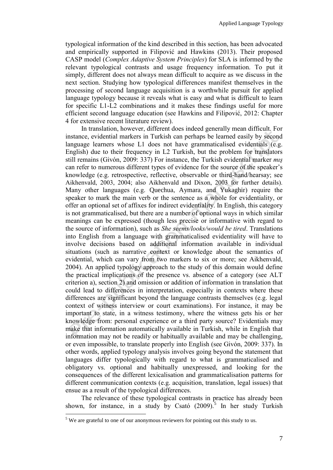typological information of the kind described in this section, has been advocated and empirically supported in Filipović and Hawkins (2013). Their proposed CASP model (*Complex Adaptive System Principles*) for SLA is informed by the relevant typological contrasts and usage frequency information. To put it simply, different does not always mean difficult to acquire as we discuss in the next section. Studying how typological differences manifest themselves in the processing of second language acquisition is a worthwhile pursuit for applied language typology because it reveals what is easy and what is difficult to learn for specific L1-L2 combinations and it makes these findings useful for more efficient second language education (see Hawkins and Filipović, 2012: Chapter 4 for extensive recent literature review).

In translation, however, different does indeed generally mean difficult. For instance, evidential markers in Turkish can perhaps be learned easily by second language learners whose L1 does not have grammaticalised evidentials (e.g. English) due to their frequency in L2 Turkish, but the problem for translators still remains (Givón, 2009: 337) For instance, the Turkish evidential marker *mış* can refer to numerous different types of evidence for the source of the speaker's knowledge (e.g. retrospective, reflective, observable or third-hand/hearsay; see Aikhenvald, 2003, 2004; also Aikhenvald and Dixon, 2003 for further details). Many other languages (e.g. Quechua, Aymara, and Yukaghir) require the speaker to mark the main verb or the sentence as a whole for evidentiality, or offer an optional set of affixes for indirect evidentiality. In English, this category is not grammaticalised, but there are a number of optional ways in which similar meanings can be expressed (though less precise or informative with regard to the source of information), such as *She seems/looks/would be tired*. Translations into English from a language with grammaticalised evidentiality will have to involve decisions based on additional information available in individual situations (such as narrative context or knowledge about the semantics of evidential, which can vary from two markers to six or more; see Aikhenvald, 2004). An applied typology approach to the study of this domain would define the practical implications of the presence vs. absence of a category (see ALT criterion a), section 2) and omission or addition of information in translation that could lead to differences in interpretation, especially in contexts where these differences are significant beyond the language contrasts themselves (e.g. legal context of witness interview or court examinations). For instance, it may be important to state, in a witness testimony, where the witness gets his or her knowledge from: personal experience or a third party source? Evidentials may make that information automatically available in Turkish, while in English that information may not be readily or habitually available and may be challenging, or even impossible, to translate properly into English (see Givón, 2009: 337). In other words, applied typology analysis involves going beyond the statement that languages differ typologically with regard to what is grammaticalised and obligatory vs. optional and habitually unexpressed, and looking for the consequences of the different lexicalisation and grammaticalisation patterns for different communication contexts (e.g. acquisition, translation, legal issues) that ensue as a result of the typological differences.

The relevance of these typological contrasts in practice has already been shown, for instance, in a study by Csató  $(2009)^5$ . In her study Turkish

 $\overline{a}$ 

<sup>&</sup>lt;sup>5</sup> We are grateful to one of our anonymous reviewers for pointing out this study to us.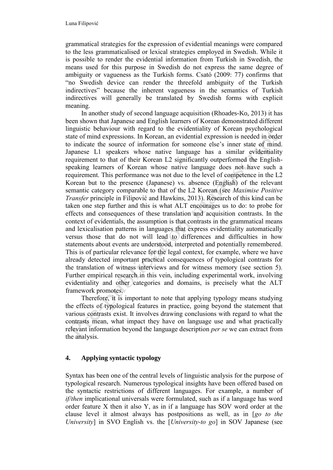grammatical strategies for the expression of evidential meanings were compared to the less grammaticalised or lexical strategies employed in Swedish. While it is possible to render the evidential information from Turkish in Swedish, the means used for this purpose in Swedish do not express the same degree of ambiguity or vagueness as the Turkish forms. Csató (2009: 77) confirms that "no Swedish device can render the threefold ambiguity of the Turkish indirectives" because the inherent vagueness in the semantics of Turkish indirectives will generally be translated by Swedish forms with explicit meaning.

In another study of second language acquisition (Rhoades-Ko, 2013) it has been shown that Japanese and English learners of Korean demonstrated different linguistic behaviour with regard to the evidentiality of Korean psychological state of mind expressions. In Korean, an evidential expression is needed in order to indicate the source of information for someone else's inner state of mind. Japanese L1 speakers whose native language has a similar evidentiality requirement to that of their Korean L2 significantly outperformed the Englishspeaking learners of Korean whose native language does not have such a requirement. This performance was not due to the level of competence in the L2 Korean but to the presence (Japanese) vs. absence (English) of the relevant semantic category comparable to that of the L2 Korean (see *Maximise Positive Transfer* principle in Filipović and Hawkins, 2013). Research of this kind can be taken one step further and this is what ALT encourages us to do: to probe for effects and consequences of these translation and acquisition contrasts. In the context of evidentials, the assumption is that contrasts in the grammatical means and lexicalisation patterns in languages that express evidentiality automatically versus those that do not will lead to differences and difficulties in how statements about events are understood, interpreted and potentially remembered. This is of particular relevance for the legal context, for example, where we have already detected important practical consequences of typological contrasts for the translation of witness interviews and for witness memory (see section 5). Further empirical research in this vein, including experimental work, involving evidentiality and other categories and domains, is precisely what the ALT framework promotes.

Therefore, it is important to note that applying typology means studying the effects of typological features in practice, going beyond the statement that various contrasts exist. It involves drawing conclusions with regard to what the contrasts mean, what impact they have on language use and what practically relevant information beyond the language description *per se* we can extract from the analysis.

## **4. Applying syntactic typology**

Syntax has been one of the central levels of linguistic analysis for the purpose of typological research. Numerous typological insights have been offered based on the syntactic restrictions of different languages. For example, a number of *if/then* implicational universals were formulated, such as if a language has word order feature X then it also Y, as in if a language has SOV word order at the clause level it almost always has postpositions as well, as in [*go to the University*] in SVO English vs. the [*University-to go*] in SOV Japanese (see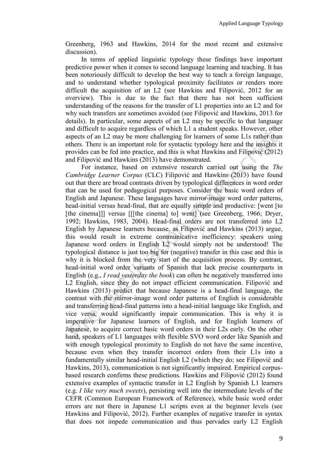Greenberg, 1963 and Hawkins, 2014 for the most recent and extensive discussion).

In terms of applied linguistic typology these findings have important predictive power when it comes to second language learning and teaching. It has been notoriously difficult to develop the best way to teach a foreign language, and to understand whether typological proximity facilitates or renders more difficult the acquisition of an L2 (see Hawkins and Filipović, 2012 for an overview). This is due to the fact that there has not been sufficient understanding of the reasons for the transfer of L1 properties into an L2 and for why such transfers are sometimes avoided (see Filipović and Hawkins, 2013 for details). In particular, some aspects of an L2 may be specific to that language and difficult to acquire regardless of which L1 a student speaks. However, other aspects of an L2 may be more challenging for learners of some L1s rather than others. There is an important role for syntactic typology here and the insights it provides can be fed into practice, and this is what Hawkins and Filipović (2012) and Filipović and Hawkins (2013) have demonstrated.

For instance, based on extensive research carried out using the *The Cambridge Learner Corpus* (CLC) Filipović and Hawkins (2013) have found out that there are broad contrasts driven by typological differences in word order that can be used for pedagogical purposes. Consider the basic word orders of English and Japanese. These languages have mirror-image word order patterns, head-initial versus head-final, that are equally simple and productive: [went [to [the cinema]]] versus [[[the cinema] to] went] (see Greenberg, 1966; Dryer, 1992; Hawkins, 1983, 2004). Head-final orders are not transferred into L2 English by Japanese learners because, as Filipović and Hawkins (2013) argue, this would result in extreme communicative inefficiency: speakers using Japanese word orders in English L2 would simply not be understood! The typological distance is just too big for (negative) transfer in this case and this is why it is blocked from the very start of the acquisition process. By contrast, head-initial word order variants of Spanish that lack precise counterparts in English (e.g., *I read yesterday the book*) can often be negatively transferred into L2 English, since they do not impact efficient communication. Filipović and Hawkins (2013) predict that because Japanese is a head-final language, the contrast with the mirror-image word order patterns of English is considerable and transferring head-final patterns into a head-initial language like English, and vice versa, would significantly impair communication. This is why it is imperative for Japanese learners of English, and for English learners of Japanese, to acquire correct basic word orders in their L2s early. On the other hand, speakers of L1 languages with flexible SVO word order like Spanish and with enough typological proximity to English do not have the same incentive, because even when they transfer incorrect orders from their L1s into a fundamentally similar head-initial English L2 (which they do; see Filipović and Hawkins, 2013), communication is not significantly impaired. Empirical corpusbased research confirms these predictions. Hawkins and Filipović (2012) found extensive examples of syntactic transfer in L2 English by Spanish L1 learners (e.g. *I like very much sweets*), persisting well into the intermediate levels of the CEFR (Common European Framework of Reference), while basic word order errors are not there in Japanese L1 scripts even at the beginner levels (see Hawkins and Filipović, 2012). Further examples of negative transfer in syntax that does not impede communication and thus pervades early L2 English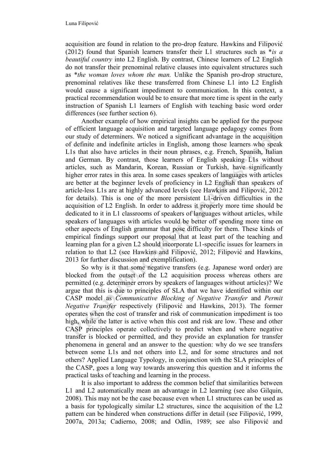acquisition are found in relation to the pro-drop feature. Hawkins and Filipović (2012) found that Spanish learners transfer their L1 structures such as \**is a beautiful country* into L2 English. By contrast, Chinese learners of L2 English do not transfer their prenominal relative clauses into equivalent structures such as \**the woman loves whom the man.* Unlike the Spanish pro-drop structure, prenominal relatives like these transferred from Chinese L1 into L2 English would cause a significant impediment to communication. In this context, a practical recommendation would be to ensure that more time is spent in the early instruction of Spanish L1 learners of English with teaching basic word order differences (see further section 6).

Another example of how empirical insights can be applied for the purpose of efficient language acquisition and targeted language pedagogy comes from our study of determiners. We noticed a significant advantage in the acquisition of definite and indefinite articles in English, among those learners who speak L1s that also have articles in their noun phrases, e.g. French, Spanish, Italian and German. By contrast, those learners of English speaking L1s without articles, such as Mandarin, Korean, Russian or Turkish, have significantly higher error rates in this area. In some cases speakers of languages with articles are better at the beginner levels of proficiency in L2 English than speakers of article-less L1s are at highly advanced levels (see Hawkins and Filipović, 2012 for details). This is one of the more persistent L1-driven difficulties in the acquisition of L2 English. In order to address it properly more time should be dedicated to it in L1 classrooms of speakers of languages without articles, while speakers of languages with articles would be better off spending more time on other aspects of English grammar that pose difficulty for them. These kinds of empirical findings support our proposal that at least part of the teaching and learning plan for a given L2 should incorporate L1-specific issues for learners in relation to that L2 (see Hawkins and Filipović, 2012; Filipović and Hawkins, 2013 for further discussion and exemplification).

So why is it that some negative transfers (e.g. Japanese word order) are blocked from the outset of the L2 acquisition process whereas others are permitted (e.g. determiner errors by speakers of languages without articles)? We argue that this is due to principles of SLA that we have identified within our CASP model as *Communicative Blocking of Negative Transfer* and *Permit Negative Transfer* respectively (Filipović and Hawkins, 2013). The former operates when the cost of transfer and risk of communication impediment is too high, while the latter is active when this cost and risk are low. These and other CASP principles operate collectively to predict when and where negative transfer is blocked or permitted, and they provide an explanation for transfer phenomena in general and an answer to the question: why do we see transfers between some L1s and not others into L2, and for some structures and not others? Applied Language Typology, in conjunction with the SLA principles of the CASP, goes a long way towards answering this question and it informs the practical tasks of teaching and learning in the process.

It is also important to address the common belief that similarities between L1 and L2 automatically mean an advantage in L2 learning (see also Gilquin, 2008). This may not be the case because even when L1 structures can be used as a basis for typologically similar L2 structures, since the acquisition of the L2 pattern can be hindered when constructions differ in detail (see Filipović, 1999, 2007a, 2013a; Cadierno, 2008; and Odlin, 1989; see also Filipović and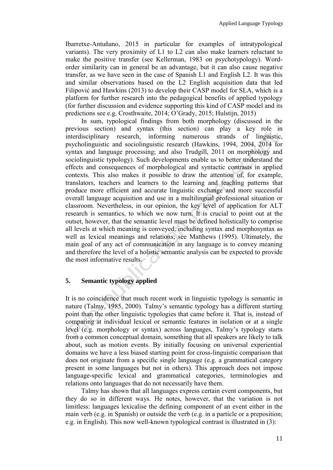Ibarretxe-Antuñano, 2015 in particular for examples of intratypological variants). The very proximity of L1 to L2 can also make learners reluctant to make the positive transfer (see Kellerman, 1983 on psychotypology). Wordorder similarity can in general be an advantage, but it can also cause negative transfer, as we have seen in the case of Spanish L1 and English L2. It was this and similar observations based on the L2 English acquisition data that led Filipović and Hawkins (2013) to develop their CASP model for SLA, which is a platform for further research into the pedagogical benefits of applied typology (for further discussion and evidence supporting this kind of CASP model and its predictions see e.g. Crosthwaite, 2014; O'Grady, 2015; Hulstijn, 2015)

In sum, typological findings from both morphology (discussed in the previous section) and syntax (this section) can play a key role in interdisciplinary research, informing numerous strands of linguistic, psycholinguistic and sociolinguistic research (Hawkins, 1994, 2004, 2014 for syntax and language processing; and also Trudgill, 2011 on morphology and sociolinguistic typology). Such developments enable us to better understand the effects and consequences of morphological and syntactic contrasts in applied contexts. This also makes it possible to draw the attention of, for example, translators, teachers and learners to the learning and teaching patterns that produce more efficient and accurate linguistic exchange and more successful overall language acquisition and use in a multilingual professional situation or classroom. Nevertheless, in our opinion, the key level of application for ALT research is semantics, to which we now turn. It is crucial to point out at the outset, however, that the semantic level must be defined holistically to comprise all levels at which meaning is conveyed, including syntax and morphosyntax as well as lexical meanings and relations; see Matthews (1995). Ultimately, the main goal of any act of communication in any language is to convey meaning and therefore the level of a holistic semantic analysis can be expected to provide the most informative results.

## **5. Semantic typology applied**

It is no coincidence that much recent work in linguistic typology is semantic in nature (Talmy, 1985, 2000). Talmy's semantic typology has a different starting point than the other linguistic typologies that came before it. That is, instead of comparing at individual lexical or semantic features in isolation or at a single level (e.g. morphology or syntax) across languages, Talmy's typology starts from a common conceptual domain, something that all speakers are likely to talk about, such as motion events. By initially focusing on universal experiential domains we have a less biased starting point for cross-linguistic comparison that does not originate from a specific single language (e.g. a grammatical category present in some languages but not in others). This approach does not impose language-specific lexical and grammatical categories, terminologies and relations onto languages that do not necessarily have them.

Talmy has shown that all languages express certain event components, but they do so in different ways. He notes, however, that the variation is not limitless: languages lexicalise the defining component of an event either in the main verb (e.g. in Spanish) or outside the verb (e.g. in a particle or a preposition; e.g. in English). This now well-known typological contrast is illustrated in (3):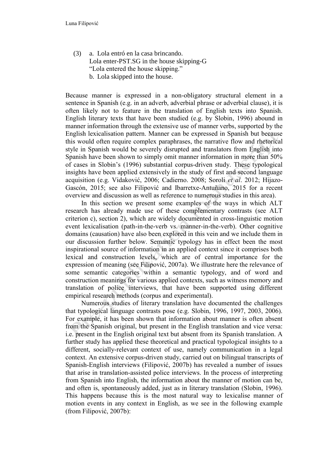(3) a. Lola entró en la casa brincando. Lola enter-PST.SG in the house skipping-G "Lola entered the house skipping." b. Lola skipped into the house.

Because manner is expressed in a non-obligatory structural element in a sentence in Spanish (e.g. in an adverb, adverbial phrase or adverbial clause), it is often likely not to feature in the translation of English texts into Spanish. English literary texts that have been studied (e.g. by Slobin, 1996) abound in manner information through the extensive use of manner verbs, supported by the English lexicalisation pattern. Manner can be expressed in Spanish but because this would often require complex paraphrases, the narrative flow and rhetorical style in Spanish would be severely disrupted and translators from English into Spanish have been shown to simply omit manner information in more than 50% of cases in Slobin's (1996) substantial corpus-driven study. These typological insights have been applied extensively in the study of first and second language acquisition (e.g. Vidaković, 2006; Cadierno. 2008; Soroli *et al*. 2012; Hijazo-Gascón, 2015; see also Filipović and Ibarretxe-Antuñano, 2015 for a recent overview and discussion as well as reference to numerous studies in this area).

In this section we present some examples of the ways in which ALT research has already made use of these complementary contrasts (see ALT criterion c), section 2), which are widely documented in cross-linguistic motion event lexicalisation (path-in-the-verb vs. manner-in-the-verb). Other cognitive domains (causation) have also been explored in this vein and we include them in our discussion further below. Semantic typology has in effect been the most inspirational source of information in an applied context since it comprises both lexical and construction levels, which are of central importance for the expression of meaning (see Filipović, 2007a). We illustrate here the relevance of some semantic categories within a semantic typology, and of word and construction meanings for various applied contexts, such as witness memory and translation of police interviews, that have been supported using different empirical research methods (corpus and experimental).

Numerous studies of literary translation have documented the challenges that typological language contrasts pose (e.g. Slobin, 1996, 1997, 2003, 2006). For example, it has been shown that information about manner is often absent from the Spanish original, but present in the English translation and vice versa: i.e. present in the English original text but absent from its Spanish translation. A further study has applied these theoretical and practical typological insights to a different, socially-relevant context of use, namely communication in a legal context. An extensive corpus-driven study, carried out on bilingual transcripts of Spanish-English interviews (Filipović, 2007b) has revealed a number of issues that arise in translation-assisted police interviews. In the process of interpreting from Spanish into English, the information about the manner of motion can be, and often is, spontaneously added, just as in literary translation (Slobin, 1996). This happens because this is the most natural way to lexicalise manner of motion events in any context in English, as we see in the following example (from Filipović, 2007b):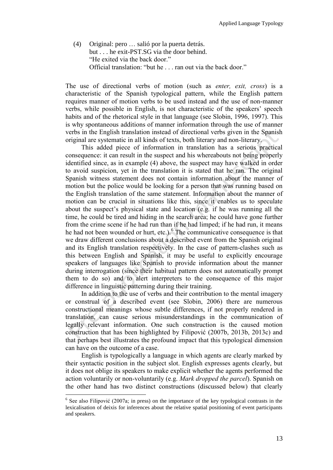(4) Original: pero … salió por la puerta detrás. but . . . he exit-PST.SG via the door behind. "He exited via the back door." Official translation: "but he . . . ran out via the back door."

The use of directional verbs of motion (such as *enter, exit, cross*) is a characteristic of the Spanish typological pattern, while the English pattern requires manner of motion verbs to be used instead and the use of non-manner verbs, while possible in English, is not characteristic of the speakers' speech habits and of the rhetorical style in that language (see Slobin, 1996, 1997). This is why spontaneous additions of manner information through the use of manner verbs in the English translation instead of directional verbs given in the Spanish original are systematic in all kinds of texts, both literary and non-literary.

This added piece of information in translation has a serious practical consequence: it can result in the suspect and his whereabouts not being properly identified since, as in example (4) above, the suspect may have walked in order to avoid suspicion, yet in the translation it is stated that he ran. The original Spanish witness statement does not contain information about the manner of motion but the police would be looking for a person that was running based on the English translation of the same statement. Information about the manner of motion can be crucial in situations like this, since it enables us to speculate about the suspect's physical state and location (e.g. if he was running all the time, he could be tired and hiding in the search area; he could have gone further from the crime scene if he had run than if he had limped; if he had run, it means he had not been wounded or hurt, etc.).<sup>6</sup> The communicative consequence is that we draw different conclusions about a described event from the Spanish original and its English translation respectively. In the case of pattern-clashes such as this between English and Spanish, it may be useful to explicitly encourage speakers of languages like Spanish to provide information about the manner during interrogation (since their habitual pattern does not automatically prompt them to do so) and to alert interpreters to the consequence of this major difference in linguistic patterning during their training.

In addition to the use of verbs and their contribution to the mental imagery or construal of a described event (see Slobin, 2006) there are numerous constructional meanings whose subtle differences, if not properly rendered in translation, can cause serious misunderstandings in the communication of legally relevant information. One such construction is the caused motion construction that has been highlighted by Filipović (2007b, 2013b, 2013c) and that perhaps best illustrates the profound impact that this typological dimension can have on the outcome of a case.

English is typologically a language in which agents are clearly marked by their syntactic position in the subject slot. English expresses agents clearly, but it does not oblige its speakers to make explicit whether the agents performed the action voluntarily or non-voluntarily (e.g. *Mark dropped the parcel*). Spanish on the other hand has two distinct constructions (discussed below) that clearly

 $\overline{a}$ 

<sup>&</sup>lt;sup>6</sup> See also Filipović (2007a; in press) on the importance of the key typological contrasts in the lexicalisation of deixis for inferences about the relative spatial positioning of event participants and speakers.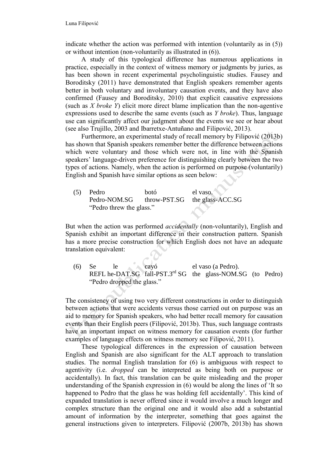indicate whether the action was performed with intention (voluntarily as in (5)) or without intention (non-voluntarily as illustrated in (6)).

A study of this typological difference has numerous applications in practice, especially in the context of witness memory or judgments by juries, as has been shown in recent experimental psycholinguistic studies. Fausey and Boroditsky (2011) have demonstrated that English speakers remember agents better in both voluntary and involuntary causation events, and they have also confirmed (Fausey and Boroditsky, 2010) that explicit causative expressions (such as *X broke Y*) elicit more direct blame implication than the non-agentive expressions used to describe the same events (such as *Y broke*). Thus, language use can significantly affect our judgment about the events we see or hear about (see also Trujillo, 2003 and Ibarretxe-Antuñano and Filipović, 2013).

Furthermore, an experimental study of recall memory by Filipović (2013b) has shown that Spanish speakers remember better the difference between actions which were voluntary and those which were not, in line with the Spanish speakers' language-driven preference for distinguishing clearly between the two types of actions. Namely, when the action is performed on purpose (voluntarily) English and Spanish have similar options as seen below:

(5) Pedro botó el vaso. Pedro-NOM.SG throw-PST.SG the glass-ACC.SG "Pedro threw the glass."

But when the action was performed *accidentally* (non-voluntarily), English and Spanish exhibit an important difference in their construction pattern. Spanish has a more precise construction for which English does not have an adequate translation equivalent:

(6) Se le cayó el vaso (a Pedro). REFL he-DAT.SG  $fall-PST.3<sup>rd</sup>SG$  the glass-NOM.SG (to Pedro) "Pedro dropped the glass."

The consistency of using two very different constructions in order to distinguish between actions that were accidents versus those carried out on purpose was an aid to memory for Spanish speakers, who had better recall memory for causation events than their English peers (Filipović, 2013b). Thus, such language contrasts have an important impact on witness memory for causation events (for further examples of language effects on witness memory see Filipović, 2011).

These typological differences in the expression of causation between English and Spanish are also significant for the ALT approach to translation studies. The normal English translation for (6) is ambiguous with respect to agentivity (i.e. *dropped* can be interpreted as being both on purpose or accidentally). In fact, this translation can be quite misleading and the proper understanding of the Spanish expression in (6) would be along the lines of 'It so happened to Pedro that the glass he was holding fell accidentally'. This kind of expanded translation is never offered since it would involve a much longer and complex structure than the original one and it would also add a substantial amount of information by the interpreter, something that goes against the general instructions given to interpreters. Filipović (2007b, 2013b) has shown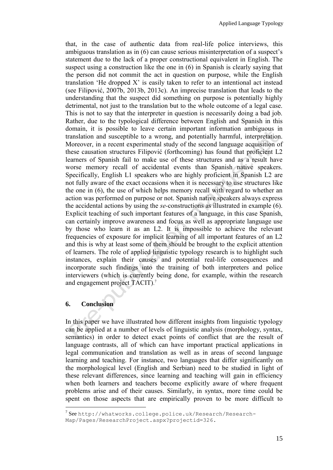that, in the case of authentic data from real-life police interviews, this ambiguous translation as in (6) can cause serious misinterpretation of a suspect's statement due to the lack of a proper constructional equivalent in English. The suspect using a construction like the one in (6) in Spanish is clearly saying that the person did not commit the act in question on purpose, while the English translation 'He dropped X' is easily taken to refer to an intentional act instead (see Filipović, 2007b, 2013b, 2013c). An imprecise translation that leads to the understanding that the suspect did something on purpose is potentially highly detrimental, not just to the translation but to the whole outcome of a legal case. This is not to say that the interpreter in question is necessarily doing a bad job. Rather, due to the typological difference between English and Spanish in this domain, it is possible to leave certain important information ambiguous in translation and susceptible to a wrong, and potentially harmful, interpretation. Moreover, in a recent experimental study of the second language acquisition of these causation structures Filipović (forthcoming) has found that proficient L2 learners of Spanish fail to make use of these structures and as a result have worse memory recall of accidental events than Spanish native speakers. Specifically, English L1 speakers who are highly proficient in Spanish L2 are not fully aware of the exact occasions when it is necessary to use structures like the one in (6), the use of which helps memory recall with regard to whether an action was performed on purpose or not. Spanish native speakers always express the accidental actions by using the *se-*constructions as illustrated in example (6). Explicit teaching of such important features of a language, in this case Spanish, can certainly improve awareness and focus as well as appropriate language use by those who learn it as an L2. It is impossible to achieve the relevant frequencies of exposure for implicit learning of all important features of an L2 and this is why at least some of them should be brought to the explicit attention of learners. The role of applied linguistic typology research is to highlight such instances, explain their causes and potential real-life consequences and incorporate such findings into the training of both interpreters and police interviewers (which is currently being done, for example, within the research and engagement project TACIT). 7

#### **6. Conclusion**

 $\overline{a}$ 

In this paper we have illustrated how different insights from linguistic typology can be applied at a number of levels of linguistic analysis (morphology, syntax, semantics) in order to detect exact points of conflict that are the result of language contrasts, all of which can have important practical applications in legal communication and translation as well as in areas of second language learning and teaching. For instance, two languages that differ significantly on the morphological level (English and Serbian) need to be studied in light of these relevant differences, since learning and teaching will gain in efficiency when both learners and teachers become explicitly aware of where frequent problems arise and of their causes. Similarly, in syntax, more time could be spent on those aspects that are empirically proven to be more difficult to

<sup>&</sup>lt;sup>7</sup> See http://whatworks.college.police.uk/Research/Research-Map/Pages/ResearchProject.aspx?projectid=326.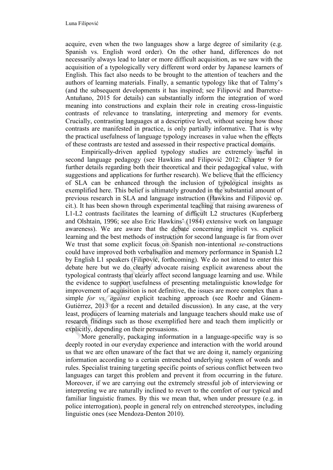acquire, even when the two languages show a large degree of similarity (e.g. Spanish vs. English word order). On the other hand, differences do not necessarily always lead to later or more difficult acquisition, as we saw with the acquisition of a typologically very different word order by Japanese learners of English. This fact also needs to be brought to the attention of teachers and the authors of learning materials. Finally, a semantic typology like that of Talmy's (and the subsequent developments it has inspired; see Filipović and Ibarretxe-Antuñano, 2015 for details) can substantially inform the integration of word meaning into constructions and explain their role in creating cross-linguistic contrasts of relevance to translating, interpreting and memory for events. Crucially, contrasting languages at a descriptive level, without seeing how those contrasts are manifested in practice, is only partially informative. That is why the practical usefulness of language typology increases in value when the effects of these contrasts are tested and assessed in their respective practical domains.

Empirically-driven applied typology studies are extremely useful in second language pedagogy (see Hawkins and Filipović 2012: Chapter 9 for further details regarding both their theoretical and their pedagogical value, with suggestions and applications for further research). We believe that the efficiency of SLA can be enhanced through the inclusion of typological insights as exemplified here. This belief is ultimately grounded in the substantial amount of previous research in SLA and language instruction (Hawkins and Filipović op. cit.). It has been shown through experimental teaching that raising awareness of L1-L2 contrasts facilitates the learning of difficult L2 structures (Kupferberg and Olshtain, 1996; see also Eric Hawkins' (1984) extensive work on language awareness). We are aware that the debate concerning implicit vs. explicit learning and the best methods of instruction for second language is far from over We trust that some explicit focus on Spanish non-intentional *se-*constructions could have improved both verbalisation and memory performance in Spanish L2 by English L1 speakers (Filipović, forthcoming). We do not intend to enter this debate here but we do clearly advocate raising explicit awareness about the typological contrasts that clearly affect second language learning and use. While the evidence to support usefulness of presenting metalinguistic knowledge for improvement of acquisition is not definitive, the issues are more complex than a simple *for vs. against* explicit teaching approach (see Roehr and Gánem-Gutiérrez, 2013 for a recent and detailed discussion). In any case, at the very least, producers of learning materials and language teachers should make use of research findings such as those exemplified here and teach them implicitly or explicitly, depending on their persuasions.

More generally, packaging information in a language-specific way is so deeply rooted in our everyday experience and interaction with the world around us that we are often unaware of the fact that we are doing it, namely organizing information according to a certain entrenched underlying system of words and rules. Specialist training targeting specific points of serious conflict between two languages can target this problem and prevent it from occurring in the future. Moreover, if we are carrying out the extremely stressful job of interviewing or interpreting we are naturally inclined to revert to the comfort of our typical and familiar linguistic frames. By this we mean that, when under pressure (e.g. in police interrogation), people in general rely on entrenched stereotypes, including linguistic ones (see Mendoza-Denton 2010).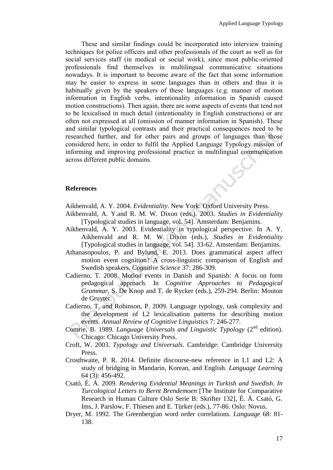These and similar findings could be incorporated into interview training techniques for police officers and other professionals of the court as well as for social services staff (in medical or social work), since most public-oriented professionals find themselves in multilingual communicative situations nowadays. It is important to become aware of the fact that some information may be easier to express in some languages than in others and thus it is habitually given by the speakers of these languages (e.g. manner of motion information in English verbs, intentionality information in Spanish caused motion constructions). Then again, there are some aspects of events that tend not to be lexicalised in much detail (intentionality in English constructions) or are often not expressed at all (omission of manner information in Spanish). These and similar typological contrasts and their practical consequences need to be researched further, and for other pairs and groups of languages than those considered here, in order to fulfil the Applied Language Typology mission of informing and improving professional practice in multilingual communication across different public domains.

## **References**

Aikhenvald, A. Y. 2004. *Evidentiality*. New York: Oxford University Press.

- Aikhenvald, A. Y.and R. M. W. Dixon (eds.). 2003. *Studies in Evidentiality* [Typological studies in language, vol. 54]. Amsterdam: Benjamins.
- Aikhenvald, A. Y. 2003. Evidentiality in typological perspective. In A. Y. Aikhenvald and R. M. W. Dixon (eds.), *Studies in Evidentiality*  [Typological studies in language, vol. 54]. 33-62. Amsterdam: Benjamins.
- Athanasopoulos, P. and Bylund, E. 2013. Does grammatical aspect affect motion event cognition? A cross-linguistic comparison of English and Swedish speakers. *Cognitive Science* 37: 286-309.
- Cadierno, T. 2008. Motion events in Danish and Spanish: A focus on form pedagogical approach. In *Cognitive Approaches to Pedagogical Grammar*, S. De Knop and T. de Rycker (eds.), 259-294. Berlin: Mouton de Gruyter.
- Cadierno, T. and Robinson, P. 2009. Language typology, task complexity and the development of L2 lexicalisation patterns for describing motion events. *Annual Review of Cognitive Linguistics* 7: 246-277.
- Comrie, B. 1989. *Language Universals and Linguistic Typology* (2<sup>nd</sup> edition). Chicago: Chicago University Press.
- Croft, W. 2003. *Typology and Universals*. Cambridge: Cambridge University Press.
- Crosthwaite, P. R. 2014. Definite discourse-new reference in L1 and L2: A study of bridging in Mandarin, Korean, and English. *Language Learning* 64 (3): 456-492.
- Csató, É. Á. 2009. *Rendering Evidential Meanings in Turkish and Swedish. In Turcological Letters to Bernt Brendemoen* [The Institute for Comparative Research in Human Culture Oslo Serie B: Skrifter 132], É. Á. Csató, G. Ims, J. Parslow, F. Thiesen and E. Türker (eds.), 77-86. Oslo: Novus.
- Dryer, M. 1992. The Greenbergian word order correlations. *Language* 68: 81- 138.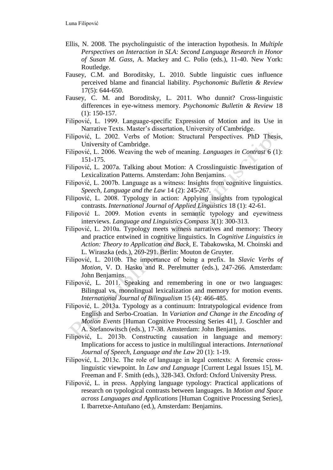- Ellis, N. 2008. The psycholinguistic of the interaction hypothesis. In *Multiple Perspectives on Interaction in SLA: Second Language Research in Honor of Susan M. Gass*, A. Mackey and C. Polio (eds.), 11-40. New York: Routledge.
- Fausey, C.M. and Boroditsky, L. 2010. Subtle linguistic cues influence perceived blame and financial liability. *Psychonomic Bulletin & Review* 17(5): 644-650.
- Fausey, C. M. and Boroditsky, L. 2011. Who dunnit? Cross-linguistic differences in eye-witness memory. *Psychonomic Bulletin & Review* 18 (1): 150-157.
- Filipović, L. 1999. Language-specific Expression of Motion and its Use in Narrative Texts. Master's dissertation, University of Cambridge.
- Filipović, L. 2002. Verbs of Motion: Structural Perspectives. PhD Thesis, University of Cambridge.
- Filipović, L. 2006. Weaving the web of meaning. *Languages in Contrast* 6 (1): 151-175.
- Filipović, L. 2007a. Talking about Motion: A Crosslinguistic Investigation of Lexicalization Patterns. Amsterdam: John Benjamins.
- Filipović, L. 2007b. Language as a witness: Insights from cognitive linguistics. *Speech, Language and the Law* 14 (2): 245-267.
- Filipović, L. 2008. Typology in action: Applying insights from typological contrasts. *International Journal of Applied Linguistics* 18 (1): 42-61.
- Filipović L. 2009. Motion events in semantic typology and eyewitness interviews. *Language and Linguistics Compass* 3(1): 300-313.
- Filipović, L. 2010a. Typology meets witness narratives and memory: Theory and practice entwined in cognitive linguistics. In *Cognitive Linguistics in Action: Theory to Application and Back*, E. Tabakowska, M. Choinski and L. Wiraszka (eds.), 269-291. Berlin: Mouton de Gruyter.
- Filipović, L. 2010b. The importance of being a prefix. In *Slavic Verbs of Motion*, V. D. Hasko and R. Perelmutter (eds.), 247-266. Amsterdam: John Benjamins.
- Filipović, L. 2011. Speaking and remembering in one or two languages: Bilingual vs. monolingual lexicalization and memory for motion events. *International Journal of Bilingualism* 15 (4): 466-485.
- Filipović, L. 2013a. Typology as a continuum: Intratypological evidence from English and Serbo-Croatian. In *Variation and Change in the Encoding of Motion Events* [Human Cognitive Processing Series 41], J. Goschler and A. Stefanowitsch (eds.), 17-38. Amsterdam: John Benjamins.
- Filipović, L. 2013b. Constructing causation in language and memory: Implications for access to justice in multilingual interactions. *International Journal of Speech, Language and the Law* 20 (1): 1-19.
- Filipović, L. 2013c. The role of language in legal contexts: A forensic crosslinguistic viewpoint. In *Law and Language* [Current Legal Issues 15], M. Freeman and F. Smith (eds.), 328-343. Oxford: Oxford University Press.
- Filipović, L. in press. Applying language typology: Practical applications of research on typological contrasts between languages. In *Motion and Space across Languages and Applications* [Human Cognitive Processing Series], I. Ibarretxe-Antuñano (ed*.*), Amsterdam: Benjamins.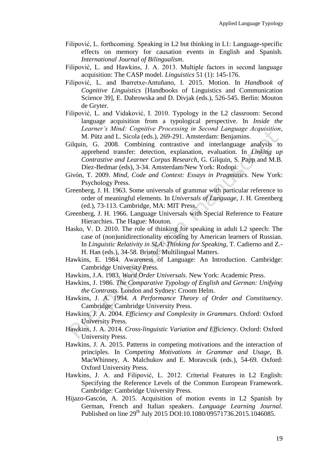- Filipović, L. forthcoming. Speaking in L2 but thinking in L1: Language-specific effects on memory for causation events in English and Spanish. *International Journal of Bilingualism*.
- Filipović, L. and Hawkins, J. A. 2013. Multiple factors in second language acquisition: The CASP model. *Linguistics* 51 (1): 145-176.
- Filipović, L. and Ibarretxe-Antuñano, I. 2015. Motion. In *Handbook of Cognitive Linguistics* [Handbooks of Linguistics and Communication Science 39], E. Dabrowska and D. Divjak (eds.), 526-545. Berlin: Mouton de Gryter.
- Filipović, L. and Vidaković, I. 2010. Typology in the L2 classroom: Second language acquisition from a typological perspective. In *Inside the Learner's Mind: Cognitive Processing in Second Language Acquisition*, M. Pütz and L. Sicola (eds.), 269-291. Amsterdam: Benjamins.
- Gilquin, G. 2008. Combining contrastive and interlanguage analysis to apprehend transfer: detection, explanation, evaluation. In *Linking up Contrastive and Learner Corpus Research*, G. Gilquin, S. Papp and M.B. Díez-Bedmar (eds), 3-34. Amsterdam/New York: Rodopi.
- Givón, T. 2009. *Mind, Code and Context: Essays in Pragmatics*. New York: Psychology Press.
- Greenberg, J. H. 1963. Some universals of grammar with particular reference to order of meaningful elements. In *Universals of Language*, J. H. Greenberg (ed.), 73-113. Cambridge, MA: MIT Press.
- Greenberg, J. H. 1966. Language Universals with Special Reference to Feature Hierarchies. The Hague: Mouton.
- Hasko, V. D. 2010. The role of thinking for speaking in adult L2 speech: The case of (non)unidirectionality encoding by American learners of Russian. In *Linguistic Relativity in SLA: Thinking for Speaking*, T. Cadierno and Z.- H. Han (eds.), 34-58. Bristol: Multilingual Matters.
- Hawkins, E. 1984. Awareness of Language: An Introduction. Cambridge: Cambridge University Press.
- Hawkins, J.A. 1983. *Word Order Universals*. New York: Academic Press.
- Hawkins, J. 1986. *The Comparative Typology of English and German: Unifying the Contrasts.* London and Sydney: Croom Helm.
- Hawkins, J. A. 1994. *A Performance Theory of Order and Constituency*. Cambridge: Cambridge University Press.
- Hawkins, J. A. 2004. *Efficiency and Complexity in Grammars*. Oxford: Oxford University Press.
- Hawkins, J. A. 2014. *Cross-linguistic Variation and Efficiency*. Oxford: Oxford University Press.
- Hawkins, J. A. 2015. Patterns in competing motivations and the interaction of principles. In *Competing Motivations in Grammar and Usage*, B. MacWhinney, A. Malchukov and E. Moravcsik (eds.), 54-69. Oxford: Oxford University Press.
- Hawkins, J. A. and Filipović, L. 2012. Criterial Features in L2 English: Specifying the Reference Levels of the Common European Framework. Cambridge: Cambridge University Press.
- Hijazo-Gascón, A. 2015. Acquisition of motion events in L2 Spanish by German, French and Italian speakers. *Language Learning Journal*. Published on line 29<sup>th</sup> July 2015 DOI:10.1080/09571736.2015.1046085.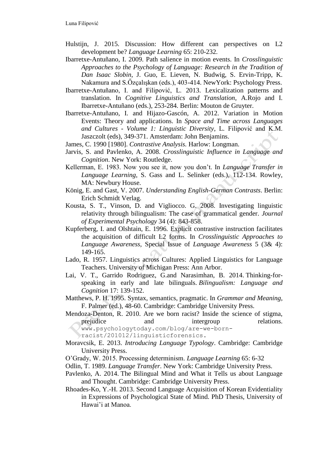- Hulstijn, J. 2015. Discussion: How different can perspectives on L2 development be? *Language Learning* 65: 210-232.
- Ibarretxe-Antuñano, I. 2009. Path salience in motion events. In *Crosslinguistic Approaches to the Psychology of Language: Research in the Tradition of Dan Isaac Slobin*, J. Guo, E. Lieven, N. Budwig, S. Ervin-Tripp, K. Nakamura and S.Őzçalışkan (eds.), 403-414. NewYork: Psychology Press.
- Ibarretxe-Antuñano, I. and Filipović, L. 2013. Lexicalization patterns and translation. In *Cognitive Linguistics and Translation*, A.Rojo and I. Ibarretxe-Antuñano (eds.), 253-284. Berlin: Mouton de Gruyter.
- Ibarretxe-Antuñano, I. and Hijazo-Gascón, A. 2012. Variation in Motion Events: Theory and applications. In *Space and Time across Languages and Cultures - Volume 1: Linguistic Diversity*, L. Filipović and K.M. Jaszczolt (eds), 349-371. Amsterdam: John Benjamins.
- James, C. 1990 [1980]. *Contrastive Analysis.* Harlow: Longman.
- Jarvis, S. and Pavlenko, A. 2008. *Crosslinguistic Influence in Language and Cognition*. New York: Routledge.
- Kellerman, E. 1983. Now you see it, now you don't. In *Language Transfer in Language Learning*, S. Gass and L. Selinker (eds.), 112-134. Rowley, MA: Newbury House.
- König, E. and Gast, V. 2007. *Understanding English-German Contrasts*. Berlin: Erich Schmidt Verlag.
- Kousta, S. T., Vinson, D. and Vigliocco. G. 2008. Investigating linguistic relativity through bilingualism: The case of grammatical gender. *Journal of Experimental Psychology* 34 (4): 843-858.
- Kupferberg, I. and Olshtain, E. 1996*.* Explicit contrastive instruction facilitates the acquisition of difficult L2 forms. In *Crosslinguistic Approaches to Language Awareness,* Special Issue of *Language Awareness* 5 (3& 4): 149-165.
- Lado, R. 1957. Linguistics across Cultures: Applied Linguistics for Language Teachers. University of Michigan Press: Ann Arbor.
- Lai, V. T., Garrido Rodriguez, G.and Narasimhan, B. 2014. Thinking-forspeaking in early and late bilinguals. *Bilingualism: Language and Cognition* 17: 139-152.
- Matthews, P. H. 1995. Syntax, semantics, pragmatic. In *Grammar and Meaning*, F. Palmer (ed.), 48-60. Cambridge: Cambridge University Press.
- Mendoza-Denton, R. 2010. Are we born racist? Inside the science of stigma, prejudice and intergroup relations. www.psychologytoday.com/blog/are-we-born
	- racist/201012/linguisticforensics.
- Moravcsik, E. 2013. *Introducing Language Typology*. Cambridge: Cambridge University Press.
- O'Grady, W. 2015. Processing determinism. *Language Learning* 65: 6-32
- Odlin, T. 1989. *Language Transfer*. New York: Cambridge University Press.
- Pavlenko, A. 2014. The Bilingual Mind and What it Tells us about Language and Thought. Cambridge: Cambridge University Press.
- Rhoades-Ko, Y.-H. 2013. Second Language Acquisition of Korean Evidentiality in Expressions of Psychological State of Mind. PhD Thesis, University of Hawai'i at Manoa.